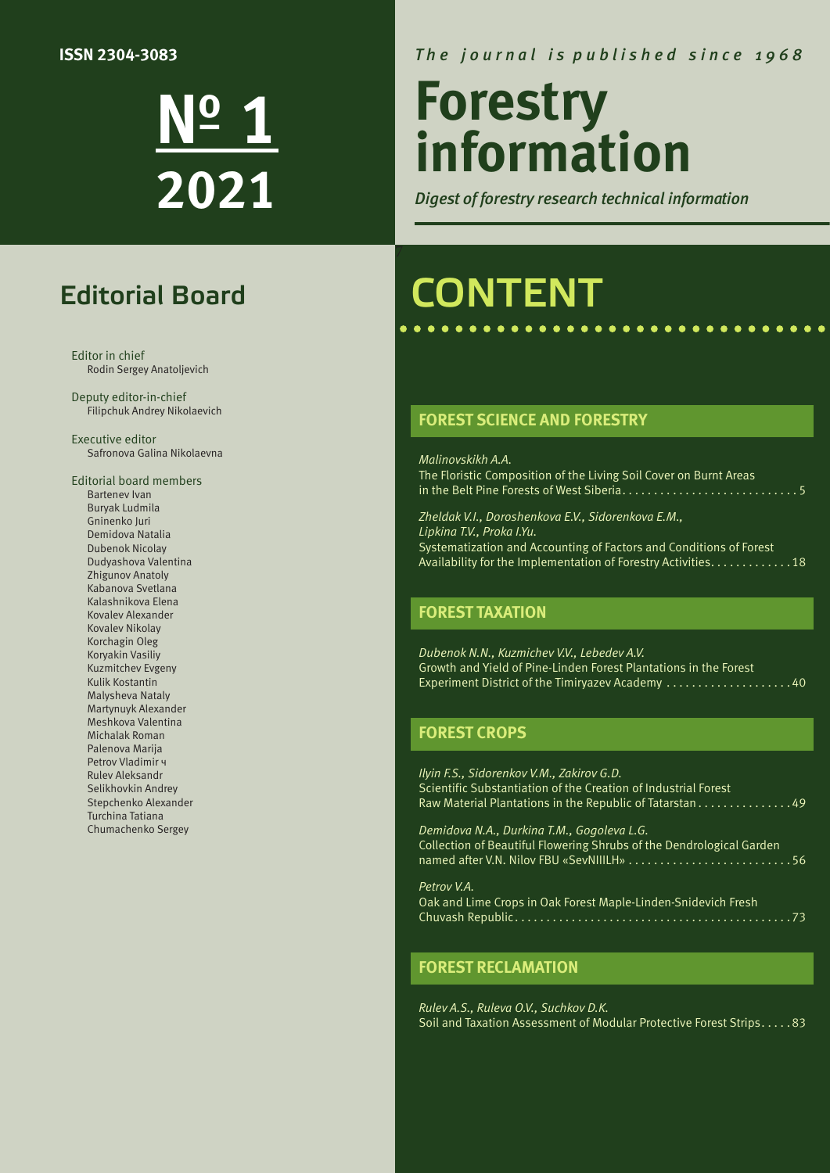#### **ISSN 2304-3083**

**№ 1 2021**

### Editorial Board

Editor in chief Rodin Sergey Anatoljevich

Deputy editor-in-chief Filipchuk Andrey Nikolaevich

Executive editor Safronova Galina Nikolaevna

Editorial board members Bartenev Ivan Buryak Ludmila Gninenko Juri Demidova Natalia Dubenok Nicolay Dudyashova Valentina Zhigunov Anatoly Kabanova Svetlana Kalashnikova Elena Kovalev Alexander Kovalev Nikolay Korchagin Oleg Koryakin Vasiliy Kuzmitchev Evgeny Kulik Kostantin Malysheva Nataly Martynuyk Alexander Meshkova Valentina Мichalak Roman Palenova Marija Petrov Vladimir ч Rulev Aleksandr Selikhovkin Andrey Stepchenko Alexander Turchina Tatiana Chumachenko Sergey

#### *T h e j o u r n a l i s p u b l i s h e d s i n c e 1 9 6 8*

# **Forestry information**

*Digest of forestry research technical information*

## CONTENT

#### **FOREST SCIENCE AND FORESTRY**

*Malinovskikh A.A.*  The Floristic Composition of the Living Soil Cover on Burnt Areas in the Belt Pine Forests of West Siberia . . . . . . . . . . . . . . . . . . . . . . . . . . . 5

*Zheldak V.I., Doroshenkova E.V., Sidorenkova E.M., Lipkina T.V., Proka I.Yu.* Systematization and Accounting of Factors and Conditions of Forest Availability for the Implementation of Forestry Activities. . . . . . . . . . . . . 18

#### **FOREST TAXATION**

*Dubenok N.N., Kuzmichev V.V., Lebedev A.V.*  Growth and Yield of Pine-Linden Forest Plantations in the Forest Experiment District of the Timiryazev Academy . . . . . . . . . . . . . . . . . . . 40

#### **FOREST CROPS**

*Ilyin F.S., Sidorenkov V.M., Zakirov G.D.* Scientific Substantiation of the Creation of Industrial Forest Raw Material Plantations in the Republic of Tatarstan . . . . . . . . . . . . . . 49

*Demidova N.A., Durkina T.M., Gogoleva L.G.*  Collection of Beautiful Flowering Shrubs of the Dendrological Garden named after V.N. Nilov FBU «SevNIIILH» . . . . . . . . . . . . . . . . . . . . . . . . . 56

*Petrov V.A.*  Oak and Lime Crops in Oak Forest Maple-Linden-Snidevich Fresh Chuvash Republic . . . . . . . . . . . . . . . . . . . . . . . . . . . . . . . . . . . . . . . . . . . 73

#### **FOREST RECLAMATION**

*Rulev A.S., Ruleva O.V., Suchkov D.K.*  Soil and Taxation Assessment of Modular Protective Forest Strips . . . . 83